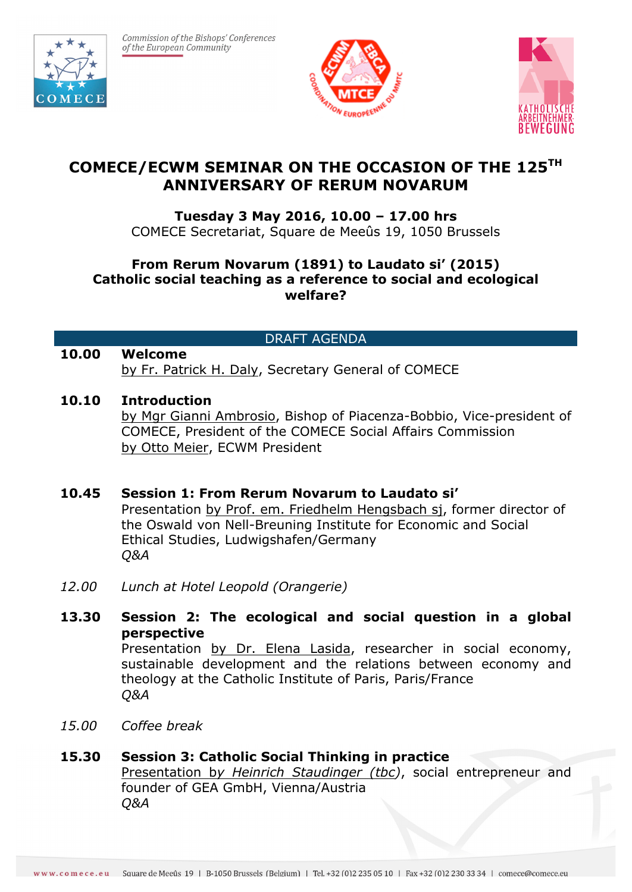

Commission of the Bishops' Conferences of the European Community





# **COMECE/ECWM SEMINAR ON THE OCCASION OF THE 125TH ANNIVERSARY OF RERUM NOVARUM**

## **Tuesday 3 May 2016, 10.00 – 17.00 hrs**

COMECE Secretariat, Square de Meeûs 19, 1050 Brussels

## **From Rerum Novarum (1891) to Laudato si' (2015) Catholic social teaching as a reference to social and ecological welfare?**

## DRAFT AGENDA

#### **10.00 Welcome** by Fr. Patrick H. Daly, Secretary General of COMECE

## **10.10 Introduction**

by Mgr Gianni Ambrosio, Bishop of Piacenza-Bobbio, Vice-president of COMECE, President of the COMECE Social Affairs Commission by Otto Meier, ECWM President

#### **10.45 Session 1: From Rerum Novarum to Laudato si'**

Presentation by Prof. em. Friedhelm Hengsbach sj, former director of the Oswald von Nell-Breuning Institute for Economic and Social Ethical Studies, Ludwigshafen/Germany *Q&A*

*12.00 Lunch at Hotel Leopold (Orangerie)*

## **13.30 Session 2: The ecological and social question in a global perspective**

Presentation by Dr. Elena Lasida, researcher in social economy, sustainable development and the relations between economy and theology at the Catholic Institute of Paris, Paris/France *Q&A*

*15.00 Coffee break*

#### **15.30 Session 3: Catholic Social Thinking in practice** Presentation b*y Heinrich Staudinger (tbc)*, social entrepreneur and founder of GEA GmbH, Vienna/Austria *Q&A*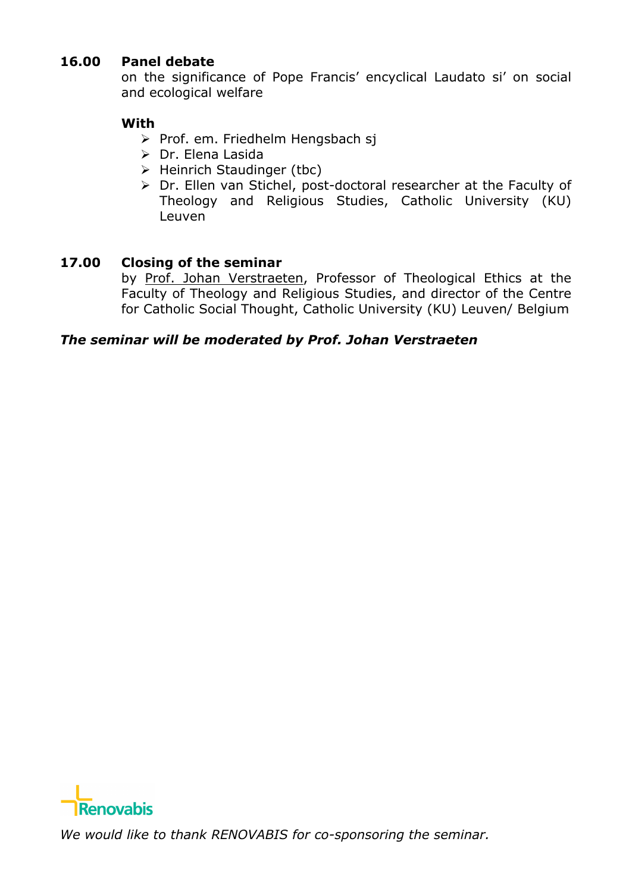## **16.00 Panel debate**

on the significance of Pope Francis' encyclical Laudato si' on social and ecological welfare

## **With**

- ▶ Prof. em. Friedhelm Hengsbach sj
- > Dr. Elena Lasida
- $\triangleright$  Heinrich Staudinger (tbc)
- > Dr. Ellen van Stichel, post-doctoral researcher at the Faculty of Theology and Religious Studies, Catholic University (KU) Leuven

#### **17.00 Closing of the seminar**

by Prof. Johan Verstraeten, Professor of Theological Ethics at the Faculty of Theology and Religious Studies, and director of the Centre for Catholic Social Thought, Catholic University (KU) Leuven/ Belgium

#### *The seminar will be moderated by Prof. Johan Verstraeten*